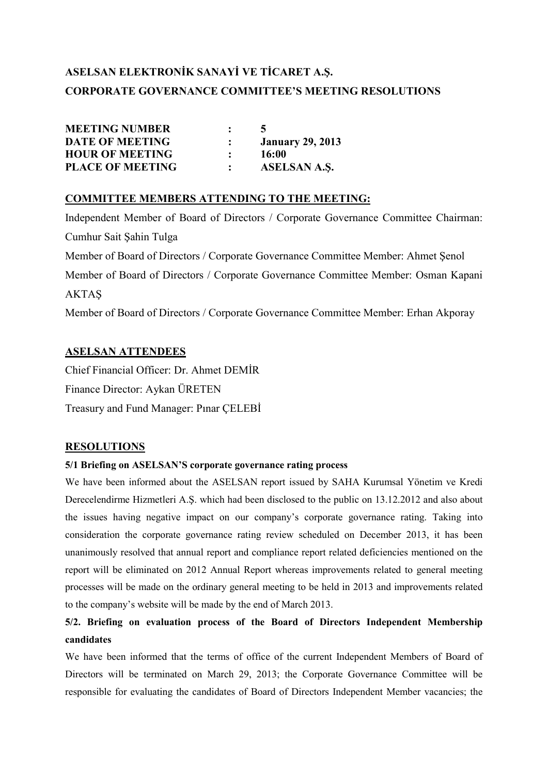# **ASELSAN ELEKTRONİK SANAYİ VE TİCARET A.Ş. CORPORATE GOVERNANCE COMMITTEE'S MEETING RESOLUTIONS**

| <b>MEETING NUMBER</b>   | $\ddot{\cdot}$ |                         |
|-------------------------|----------------|-------------------------|
| <b>DATE OF MEETING</b>  |                | <b>January 29, 2013</b> |
| <b>HOUR OF MEETING</b>  |                | 16:00                   |
| <b>PLACE OF MEETING</b> |                | <b>ASELSAN A.S.</b>     |

#### **COMMITTEE MEMBERS ATTENDING TO THE MEETING:**

Independent Member of Board of Directors / Corporate Governance Committee Chairman: Cumhur Sait Şahin Tulga Member of Board of Directors / Corporate Governance Committee Member: Ahmet Şenol Member of Board of Directors / Corporate Governance Committee Member: Osman Kapani AKTAŞ Member of Board of Directors / Corporate Governance Committee Member: Erhan Akporay

#### **ASELSAN ATTENDEES**

Chief Financial Officer: Dr. Ahmet DEMİR Finance Director: Aykan ÜRETEN Treasury and Fund Manager: Pinar CELEBİ

#### **RESOLUTIONS**

#### **5/1 Briefing on ASELSAN'S corporate governance rating process**

We have been informed about the ASELSAN report issued by SAHA Kurumsal Yönetim ve Kredi Derecelendirme Hizmetleri A.Ş. which had been disclosed to the public on 13.12.2012 and also about the issues having negative impact on our company's corporate governance rating. Taking into consideration the corporate governance rating review scheduled on December 2013, it has been unanimously resolved that annual report and compliance report related deficiencies mentioned on the report will be eliminated on 2012 Annual Report whereas improvements related to general meeting processes will be made on the ordinary general meeting to be held in 2013 and improvements related to the company's website will be made by the end of March 2013.

### **5/2. Briefing on evaluation process of the Board of Directors Independent Membership candidates**

We have been informed that the terms of office of the current Independent Members of Board of Directors will be terminated on March 29, 2013; the Corporate Governance Committee will be responsible for evaluating the candidates of Board of Directors Independent Member vacancies; the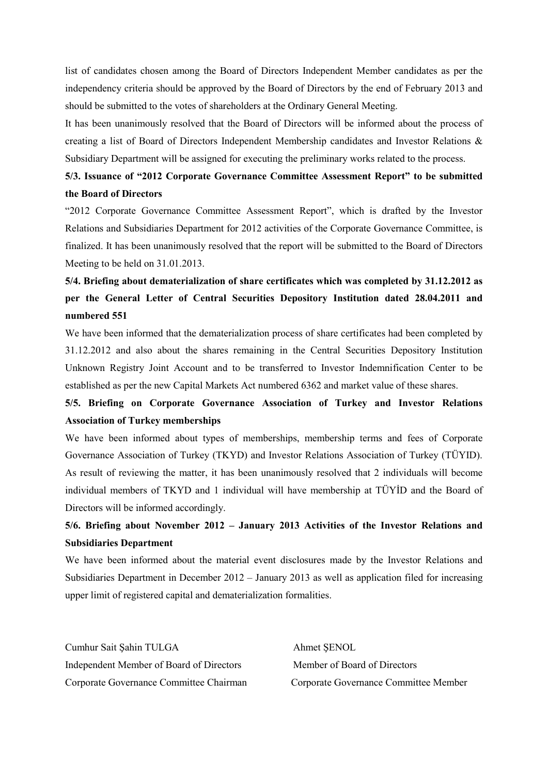list of candidates chosen among the Board of Directors Independent Member candidates as per the independency criteria should be approved by the Board of Directors by the end of February 2013 and should be submitted to the votes of shareholders at the Ordinary General Meeting.

It has been unanimously resolved that the Board of Directors will be informed about the process of creating a list of Board of Directors Independent Membership candidates and Investor Relations & Subsidiary Department will be assigned for executing the preliminary works related to the process.

### **5/3. Issuance of "2012 Corporate Governance Committee Assessment Report" to be submitted the Board of Directors**

"2012 Corporate Governance Committee Assessment Report", which is drafted by the Investor Relations and Subsidiaries Department for 2012 activities of the Corporate Governance Committee, is finalized. It has been unanimously resolved that the report will be submitted to the Board of Directors Meeting to be held on 31.01.2013.

## **5/4. Briefing about dematerialization of share certificates which was completed by 31.12.2012 as per the General Letter of Central Securities Depository Institution dated 28.04.2011 and numbered 551**

We have been informed that the dematerialization process of share certificates had been completed by 31.12.2012 and also about the shares remaining in the Central Securities Depository Institution Unknown Registry Joint Account and to be transferred to Investor Indemnification Center to be established as per the new Capital Markets Act numbered 6362 and market value of these shares.

### **5/5. Briefing on Corporate Governance Association of Turkey and Investor Relations Association of Turkey memberships**

We have been informed about types of memberships, membership terms and fees of Corporate Governance Association of Turkey (TKYD) and Investor Relations Association of Turkey (TÜYID). As result of reviewing the matter, it has been unanimously resolved that 2 individuals will become individual members of TKYD and 1 individual will have membership at TÜYİD and the Board of Directors will be informed accordingly.

### **5/6. Briefing about November 2012 – January 2013 Activities of the Investor Relations and Subsidiaries Department**

We have been informed about the material event disclosures made by the Investor Relations and Subsidiaries Department in December 2012 – January 2013 as well as application filed for increasing upper limit of registered capital and dematerialization formalities.

Cumhur Sait Şahin TULGA Ahmet ŞENOL Independent Member of Board of Directors Member of Board of Directors Corporate Governance Committee Chairman Corporate Governance Committee Member